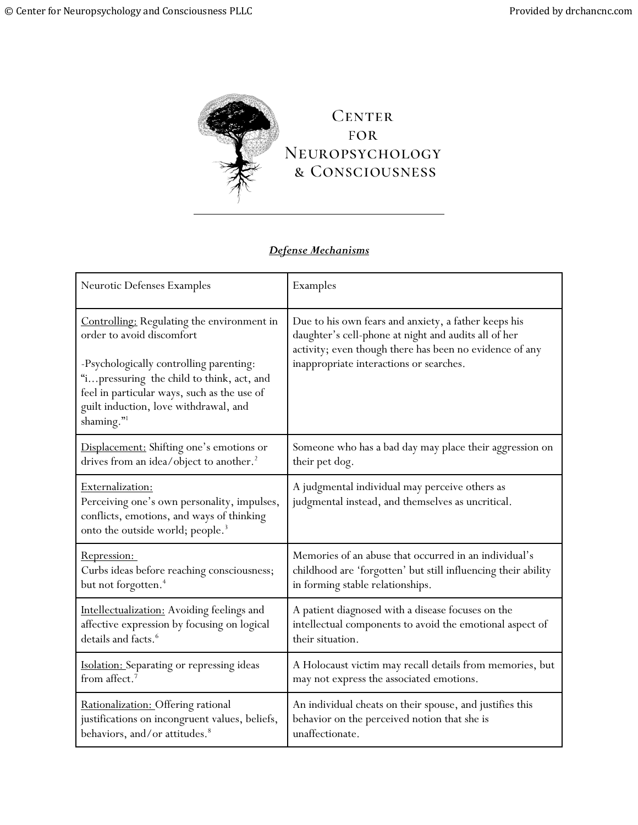

## *Defense Mechanisms*

| <b>Neurotic Defenses Examples</b>                                                                                                                                                                                                                                     | Examples                                                                                                                                                                                                           |
|-----------------------------------------------------------------------------------------------------------------------------------------------------------------------------------------------------------------------------------------------------------------------|--------------------------------------------------------------------------------------------------------------------------------------------------------------------------------------------------------------------|
| Controlling: Regulating the environment in<br>order to avoid discomfort<br>-Psychologically controlling parenting:<br>"ipressuring the child to think, act, and<br>feel in particular ways, such as the use of<br>guilt induction, love withdrawal, and<br>shaming."1 | Due to his own fears and anxiety, a father keeps his<br>daughter's cell-phone at night and audits all of her<br>activity; even though there has been no evidence of any<br>inappropriate interactions or searches. |
| Displacement: Shifting one's emotions or                                                                                                                                                                                                                              | Someone who has a bad day may place their aggression on                                                                                                                                                            |
| drives from an idea/object to another. <sup>2</sup>                                                                                                                                                                                                                   | their pet dog.                                                                                                                                                                                                     |
| Externalization:<br>Perceiving one's own personality, impulses,<br>conflicts, emotions, and ways of thinking<br>onto the outside world; people. <sup>3</sup>                                                                                                          | A judgmental individual may perceive others as<br>judgmental instead, and themselves as uncritical.                                                                                                                |
| Repression:                                                                                                                                                                                                                                                           | Memories of an abuse that occurred in an individual's                                                                                                                                                              |
| Curbs ideas before reaching consciousness;                                                                                                                                                                                                                            | childhood are 'forgotten' but still influencing their ability                                                                                                                                                      |
| but not forgotten. <sup>4</sup>                                                                                                                                                                                                                                       | in forming stable relationships.                                                                                                                                                                                   |
| Intellectualization: Avoiding feelings and                                                                                                                                                                                                                            | A patient diagnosed with a disease focuses on the                                                                                                                                                                  |
| affective expression by focusing on logical                                                                                                                                                                                                                           | intellectual components to avoid the emotional aspect of                                                                                                                                                           |
| details and facts. <sup>6</sup>                                                                                                                                                                                                                                       | their situation.                                                                                                                                                                                                   |
| Isolation: Separating or repressing ideas                                                                                                                                                                                                                             | A Holocaust victim may recall details from memories, but                                                                                                                                                           |
| from affect. <sup>7</sup>                                                                                                                                                                                                                                             | may not express the associated emotions.                                                                                                                                                                           |
| Rationalization: Offering rational                                                                                                                                                                                                                                    | An individual cheats on their spouse, and justifies this                                                                                                                                                           |
| justifications on incongruent values, beliefs,                                                                                                                                                                                                                        | behavior on the perceived notion that she is                                                                                                                                                                       |
| behaviors, and/or attitudes. <sup>8</sup>                                                                                                                                                                                                                             | unaffectionate.                                                                                                                                                                                                    |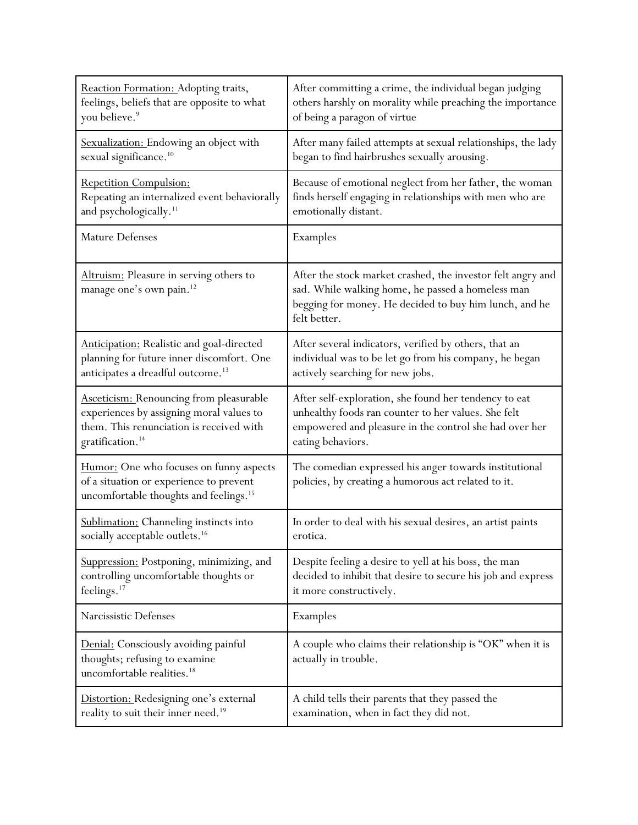| Reaction Formation: Adopting traits,                                                                                                     | After committing a crime, the individual began judging                                                                                                                                     |
|------------------------------------------------------------------------------------------------------------------------------------------|--------------------------------------------------------------------------------------------------------------------------------------------------------------------------------------------|
| feelings, beliefs that are opposite to what                                                                                              | others harshly on morality while preaching the importance                                                                                                                                  |
| you believe. <sup>9</sup>                                                                                                                | of being a paragon of virtue                                                                                                                                                               |
| Sexualization: Endowing an object with                                                                                                   | After many failed attempts at sexual relationships, the lady                                                                                                                               |
| sexual significance. <sup>10</sup>                                                                                                       | began to find hairbrushes sexually arousing.                                                                                                                                               |
| Repetition Compulsion:                                                                                                                   | Because of emotional neglect from her father, the woman                                                                                                                                    |
| Repeating an internalized event behaviorally                                                                                             | finds herself engaging in relationships with men who are                                                                                                                                   |
| and psychologically. <sup>11</sup>                                                                                                       | emotionally distant.                                                                                                                                                                       |
| Mature Defenses                                                                                                                          | Examples                                                                                                                                                                                   |
| Altruism: Pleasure in serving others to<br>manage one's own pain. <sup>12</sup>                                                          | After the stock market crashed, the investor felt angry and<br>sad. While walking home, he passed a homeless man<br>begging for money. He decided to buy him lunch, and he<br>felt better. |
| <b>Anticipation:</b> Realistic and goal-directed                                                                                         | After several indicators, verified by others, that an                                                                                                                                      |
| planning for future inner discomfort. One                                                                                                | individual was to be let go from his company, he began                                                                                                                                     |
| anticipates a dreadful outcome. <sup>13</sup>                                                                                            | actively searching for new jobs.                                                                                                                                                           |
| <b>Asceticism: Renouncing from pleasurable</b>                                                                                           | After self-exploration, she found her tendency to eat                                                                                                                                      |
| experiences by assigning moral values to                                                                                                 | unhealthy foods ran counter to her values. She felt                                                                                                                                        |
| them. This renunciation is received with                                                                                                 | empowered and pleasure in the control she had over her                                                                                                                                     |
| gratification. <sup>14</sup>                                                                                                             | eating behaviors.                                                                                                                                                                          |
| Humor: One who focuses on funny aspects<br>of a situation or experience to prevent<br>uncomfortable thoughts and feelings. <sup>15</sup> | The comedian expressed his anger towards institutional<br>policies, by creating a humorous act related to it.                                                                              |
| Sublimation: Channeling instincts into                                                                                                   | In order to deal with his sexual desires, an artist paints                                                                                                                                 |
| socially acceptable outlets. <sup>16</sup>                                                                                               | erotica.                                                                                                                                                                                   |
| Suppression: Postponing, minimizing, and                                                                                                 | Despite feeling a desire to yell at his boss, the man                                                                                                                                      |
| controlling uncomfortable thoughts or                                                                                                    | decided to inhibit that desire to secure his job and express                                                                                                                               |
| feelings. <sup>17</sup>                                                                                                                  | it more constructively.                                                                                                                                                                    |
| Narcissistic Defenses                                                                                                                    | Examples                                                                                                                                                                                   |
| Denial: Consciously avoiding painful<br>thoughts; refusing to examine<br>uncomfortable realities. <sup>18</sup>                          | A couple who claims their relationship is "OK" when it is<br>actually in trouble.                                                                                                          |
| Distortion: Redesigning one's external                                                                                                   | A child tells their parents that they passed the                                                                                                                                           |
| reality to suit their inner need. <sup>19</sup>                                                                                          | examination, when in fact they did not.                                                                                                                                                    |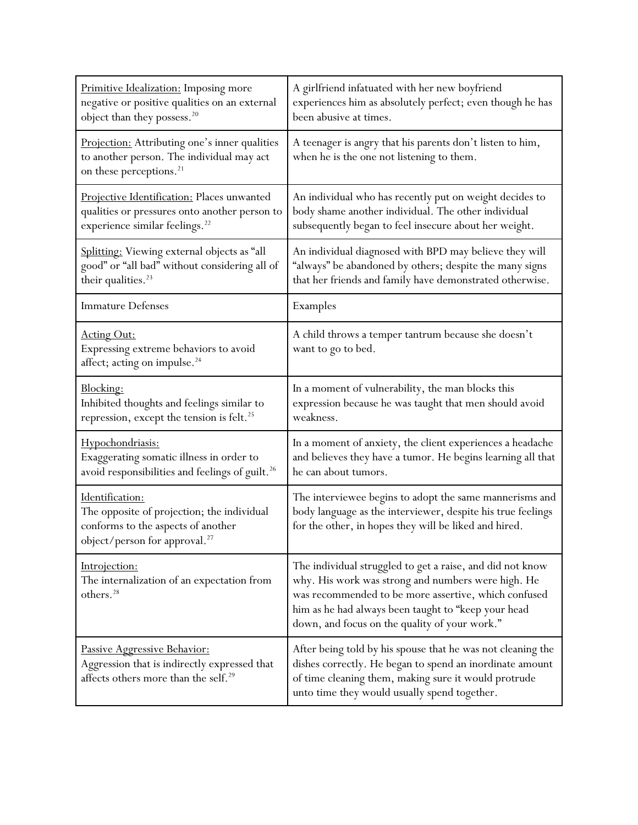| Primitive Idealization: Imposing more<br>negative or positive qualities on an external<br>object than they possess. <sup>20</sup>                | A girlfriend infatuated with her new boyfriend<br>experiences him as absolutely perfect; even though he has<br>been abusive at times.                                                                                                                                           |
|--------------------------------------------------------------------------------------------------------------------------------------------------|---------------------------------------------------------------------------------------------------------------------------------------------------------------------------------------------------------------------------------------------------------------------------------|
| Projection: Attributing one's inner qualities<br>to another person. The individual may act<br>on these perceptions. <sup>21</sup>                | A teenager is angry that his parents don't listen to him,<br>when he is the one not listening to them.                                                                                                                                                                          |
| Projective Identification: Places unwanted<br>qualities or pressures onto another person to<br>experience similar feelings. <sup>22</sup>        | An individual who has recently put on weight decides to<br>body shame another individual. The other individual<br>subsequently began to feel insecure about her weight.                                                                                                         |
| Splitting: Viewing external objects as "all<br>good" or "all bad" without considering all of<br>their qualities. <sup>23</sup>                   | An individual diagnosed with BPD may believe they will<br>"always" be abandoned by others; despite the many signs<br>that her friends and family have demonstrated otherwise.                                                                                                   |
| <b>Immature Defenses</b>                                                                                                                         | Examples                                                                                                                                                                                                                                                                        |
| <b>Acting Out:</b><br>Expressing extreme behaviors to avoid<br>affect; acting on impulse. <sup>24</sup>                                          | A child throws a temper tantrum because she doesn't<br>want to go to bed.                                                                                                                                                                                                       |
| Blocking:<br>Inhibited thoughts and feelings similar to<br>repression, except the tension is felt. <sup>25</sup>                                 | In a moment of vulnerability, the man blocks this<br>expression because he was taught that men should avoid<br>weakness.                                                                                                                                                        |
| Hypochondriasis:<br>Exaggerating somatic illness in order to<br>avoid responsibilities and feelings of guilt. <sup>26</sup>                      | In a moment of anxiety, the client experiences a headache<br>and believes they have a tumor. He begins learning all that<br>he can about tumors.                                                                                                                                |
| Identification:<br>The opposite of projection; the individual<br>conforms to the aspects of another<br>object/person for approval. <sup>27</sup> | The interviewee begins to adopt the same mannerisms and<br>body language as the interviewer, despite his true feelings<br>for the other, in hopes they will be liked and hired.                                                                                                 |
| Introjection:<br>The internalization of an expectation from<br>others. <sup>28</sup>                                                             | The individual struggled to get a raise, and did not know<br>why. His work was strong and numbers were high. He<br>was recommended to be more assertive, which confused<br>him as he had always been taught to "keep your head<br>down, and focus on the quality of your work." |
| Passive Aggressive Behavior:<br>Aggression that is indirectly expressed that<br>affects others more than the self. <sup>29</sup>                 | After being told by his spouse that he was not cleaning the<br>dishes correctly. He began to spend an inordinate amount<br>of time cleaning them, making sure it would protrude<br>unto time they would usually spend together.                                                 |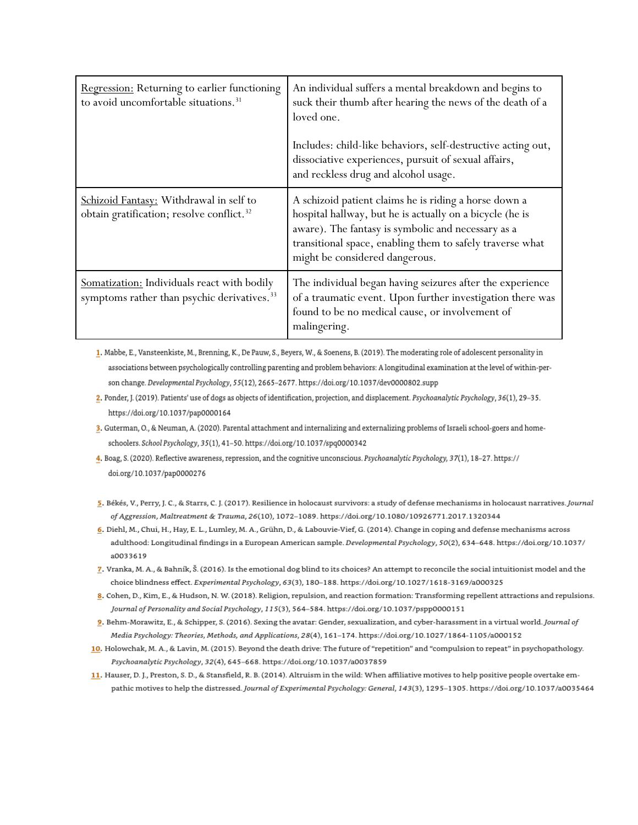| Regression: Returning to earlier functioning<br>to avoid uncomfortable situations. <sup>31</sup>       | An individual suffers a mental breakdown and begins to<br>suck their thumb after hearing the news of the death of a<br>loved one.<br>Includes: child-like behaviors, self-destructive acting out,<br>dissociative experiences, pursuit of sexual affairs,              |
|--------------------------------------------------------------------------------------------------------|------------------------------------------------------------------------------------------------------------------------------------------------------------------------------------------------------------------------------------------------------------------------|
|                                                                                                        | and reckless drug and alcohol usage.                                                                                                                                                                                                                                   |
| Schizoid Fantasy: Withdrawal in self to<br>obtain gratification; resolve conflict. <sup>32</sup>       | A schizoid patient claims he is riding a horse down a<br>hospital hallway, but he is actually on a bicycle (he is<br>aware). The fantasy is symbolic and necessary as a<br>transitional space, enabling them to safely traverse what<br>might be considered dangerous. |
| Somatization: Individuals react with bodily<br>symptoms rather than psychic derivatives. <sup>33</sup> | The individual began having seizures after the experience<br>of a traumatic event. Upon further investigation there was<br>found to be no medical cause, or involvement of<br>malingering.                                                                             |

1. Mabbe, E., Vansteenkiste, M., Brenning, K., De Pauw, S., Beyers, W., & Soenens, B. (2019). The moderating role of adolescent personality in associations between psychologically controlling parenting and problem behaviors: A longitudinal examination at the level of within-person change. Developmental Psychology, 55(12), 2665-2677. https://doi.org/10.1037/dev0000802.supp

2. Ponder, J. (2019). Patients' use of dogs as objects of identification, projection, and displacement. Psychoanalytic Psychology, 36(1), 29-35. https://doi.org/10.1037/pap0000164

3. Guterman, O., & Neuman, A. (2020). Parental attachment and internalizing and externalizing problems of Israeli school-goers and homeschoolers. School Psychology, 35(1), 41-50. https://doi.org/10.1037/spq0000342

4. Boag, S. (2020). Reflective awareness, repression, and the cognitive unconscious. Psychoanalytic Psychology, 37(1), 18-27. https:// doi.org/10.1037/pap0000276

- 5. Békés, V., Perry, J. C., & Starrs, C. J. (2017). Resilience in holocaust survivors: a study of defense mechanisms in holocaust narratives. Journal of Aggression, Maltreatment & Trauma, 26(10), 1072-1089. https://doi.org/10.1080/10926771.2017.1320344
- 6. Diehl, M., Chui, H., Hay, E. L., Lumley, M. A., Grühn, D., & Labouvie-Vief, G. (2014). Change in coping and defense mechanisms across adulthood: Longitudinal findings in a European American sample. Developmental Psychology, 50(2), 634-648. https://doi.org/10.1037/ a0033619
- 7. Vranka, M. A., & Bahník, Š. (2016). Is the emotional dog blind to its choices? An attempt to reconcile the social intuitionist model and the choice blindness effect. Experimental Psychology, 63(3), 180-188. https://doi.org/10.1027/1618-3169/a000325
- 8. Cohen, D., Kim, E., & Hudson, N. W. (2018). Religion, repulsion, and reaction formation: Transforming repellent attractions and repulsions. Journal of Personality and Social Psychology, 115(3), 564-584. https://doi.org/10.1037/pspp0000151
- 9. Behm-Morawitz, E., & Schipper, S. (2016). Sexing the avatar: Gender, sexualization, and cyber-harassment in a virtual world. Journal of Media Psychology: Theories, Methods, and Applications, 28(4), 161-174. https://doi.org/10.1027/1864-1105/a000152
- 10. Holowchak, M. A., & Lavin, M. (2015). Beyond the death drive: The future of "repetition" and "compulsion to repeat" in psychopathology. Psychoanalytic Psychology, 32(4), 645-668. https://doi.org/10.1037/a0037859
- 11. Hauser, D. J., Preston, S. D., & Stansfield, R. B. (2014). Altruism in the wild: When affiliative motives to help positive people overtake empathic motives to help the distressed. Journal of Experimental Psychology: General, 143(3), 1295-1305. https://doi.org/10.1037/a0035464